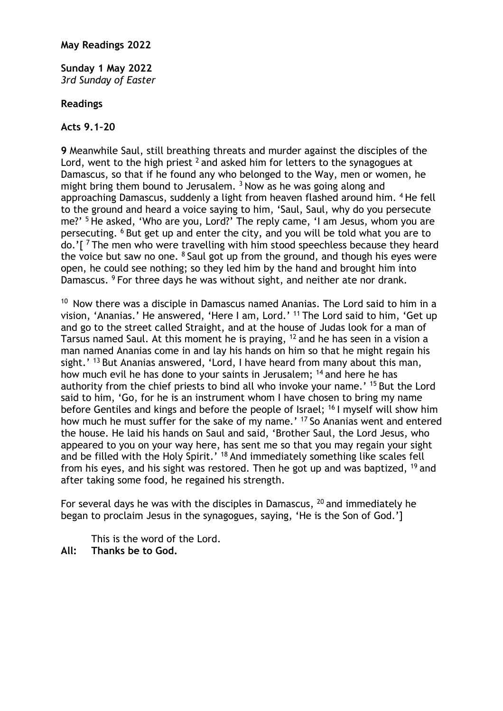#### **May Readings 2022**

**Sunday 1 May 2022** *3rd Sunday of Easter*

#### **Readings**

#### **Acts 9.1–20**

**9** Meanwhile Saul, still breathing threats and murder against the disciples of the Lord, went to the high priest  $2$  and asked him for letters to the synagogues at Damascus, so that if he found any who belonged to the Way, men or women, he might bring them bound to Jerusalem.  $3$  Now as he was going along and approaching Damascus, suddenly a light from heaven flashed around him. 4 He fell to the ground and heard a voice saying to him, 'Saul, Saul, why do you persecute me?' 5 He asked, 'Who are you, Lord?' The reply came, 'I am Jesus, whom you are persecuting. 6 But get up and enter the city, and you will be told what you are to do.'[ 7 The men who were travelling with him stood speechless because they heard the voice but saw no one.  $8$  Saul got up from the ground, and though his eyes were open, he could see nothing; so they led him by the hand and brought him into Damascus. <sup>9</sup> For three days he was without sight, and neither ate nor drank.

 $10$  Now there was a disciple in Damascus named Ananias. The Lord said to him in a vision, 'Ananias.' He answered, 'Here I am, Lord.' 11 The Lord said to him, 'Get up and go to the street called Straight, and at the house of Judas look for a man of Tarsus named Saul. At this moment he is praying, 12 and he has seen in a vision a man named Ananias come in and lay his hands on him so that he might regain his sight.' <sup>13</sup> But Ananias answered, 'Lord, I have heard from many about this man, how much evil he has done to your saints in Jerusalem; <sup>14</sup> and here he has authority from the chief priests to bind all who invoke your name.' <sup>15</sup> But the Lord said to him, 'Go, for he is an instrument whom I have chosen to bring my name before Gentiles and kings and before the people of Israel; <sup>16</sup> I myself will show him how much he must suffer for the sake of my name.' 17 So Ananias went and entered the house. He laid his hands on Saul and said, 'Brother Saul, the Lord Jesus, who appeared to you on your way here, has sent me so that you may regain your sight and be filled with the Holy Spirit.' 18 And immediately something like scales fell from his eyes, and his sight was restored. Then he got up and was baptized, <sup>19</sup> and after taking some food, he regained his strength.

For several days he was with the disciples in Damascus,  $^{20}$  and immediately he began to proclaim Jesus in the synagogues, saying, 'He is the Son of God.']

This is the word of the Lord.

**All: Thanks be to God.**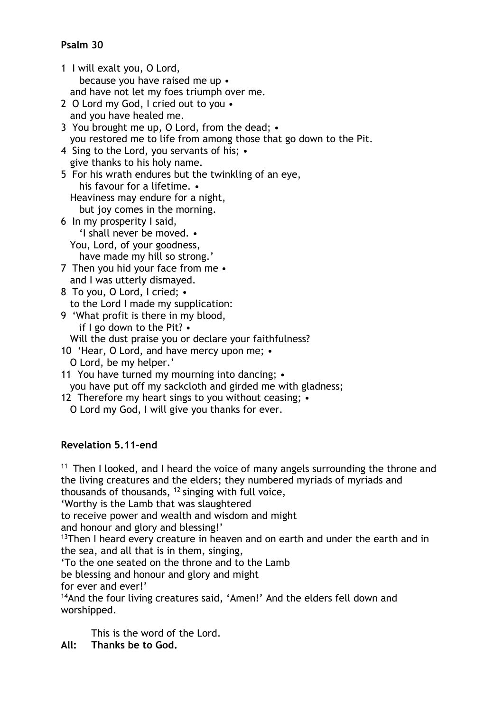# **Psalm 30**

- 1 I will exalt you, O Lord, because you have raised me up • and have not let my foes triumph over me.
- 2 O Lord my God, I cried out to you and you have healed me.
- 3 You brought me up, O Lord, from the dead; you restored me to life from among those that go down to the Pit.
- 4 Sing to the Lord, you servants of his; give thanks to his holy name.
- 5 For his wrath endures but the twinkling of an eye, his favour for a lifetime. • Heaviness may endure for a night, but joy comes in the morning. 6 In my prosperity I said,
- 'I shall never be moved. You, Lord, of your goodness, have made my hill so strong.'
- 7 Then you hid your face from me and I was utterly dismayed.
- 8 To you, O Lord, I cried; to the Lord I made my supplication:
- 9 'What profit is there in my blood, if I go down to the Pit? •
	- Will the dust praise you or declare your faithfulness?
- 10 'Hear, O Lord, and have mercy upon me; O Lord, be my helper.'
- 11 You have turned my mourning into dancing; you have put off my sackcloth and girded me with gladness;
- 12 Therefore my heart sings to you without ceasing; •
- O Lord my God, I will give you thanks for ever.

# **Revelation 5.11–end**

<sup>11</sup> Then I looked, and I heard the voice of many angels surrounding the throne and the living creatures and the elders; they numbered myriads of myriads and thousands of thousands,  $12$  singing with full voice,

'Worthy is the Lamb that was slaughtered

to receive power and wealth and wisdom and might

and honour and glory and blessing!'

 $13$ Then I heard every creature in heaven and on earth and under the earth and in the sea, and all that is in them, singing,

'To the one seated on the throne and to the Lamb

be blessing and honour and glory and might

for ever and ever!'

<sup>14</sup>And the four living creatures said, 'Amen!' And the elders fell down and worshipped.

This is the word of the Lord.

**All: Thanks be to God.**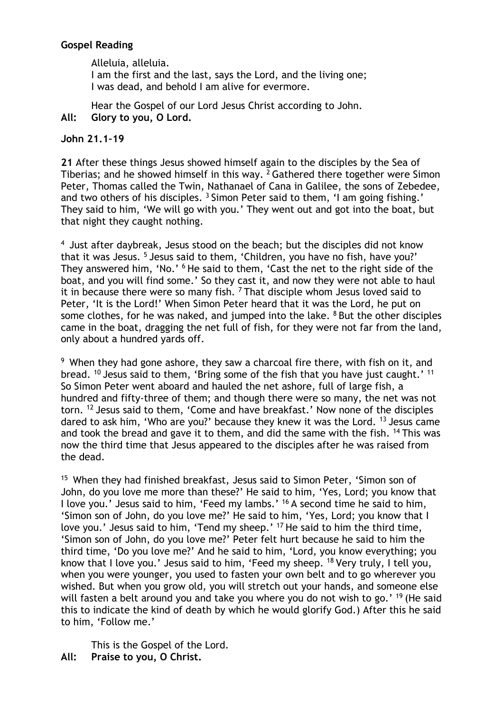## **Gospel Reading**

Alleluia, alleluia. I am the first and the last, says the Lord, and the living one; I was dead, and behold I am alive for evermore.

Hear the Gospel of our Lord Jesus Christ according to John. **All: Glory to you, O Lord.**

## **John 21.1–19**

**21** After these things Jesus showed himself again to the disciples by the Sea of Tiberias; and he showed himself in this way.  $2$  Gathered there together were Simon Peter, Thomas called the Twin, Nathanael of Cana in Galilee, the sons of Zebedee, and two others of his disciples.<sup>3</sup> Simon Peter said to them, 'I am going fishing.' They said to him, 'We will go with you.' They went out and got into the boat, but that night they caught nothing.

<sup>4</sup> Just after daybreak, Jesus stood on the beach; but the disciples did not know that it was Jesus.<sup>5</sup> Jesus said to them, 'Children, you have no fish, have you?' They answered him, 'No.' <sup>6</sup> He said to them, 'Cast the net to the right side of the boat, and you will find some.' So they cast it, and now they were not able to haul it in because there were so many fish.  $7$  That disciple whom Jesus loved said to Peter, 'It is the Lord!' When Simon Peter heard that it was the Lord, he put on some clothes, for he was naked, and jumped into the lake.  $8$  But the other disciples came in the boat, dragging the net full of fish, for they were not far from the land, only about a hundred yards off.

 $9$  When they had gone ashore, they saw a charcoal fire there, with fish on it, and bread. <sup>10</sup> Jesus said to them, 'Bring some of the fish that you have just caught.' <sup>11</sup> So Simon Peter went aboard and hauled the net ashore, full of large fish, a hundred and fifty-three of them; and though there were so many, the net was not torn. 12 Jesus said to them, 'Come and have breakfast.' Now none of the disciples dared to ask him, 'Who are you?' because they knew it was the Lord. 13 Jesus came and took the bread and gave it to them, and did the same with the fish. <sup>14</sup> This was now the third time that Jesus appeared to the disciples after he was raised from the dead.

<sup>15</sup> When they had finished breakfast, Jesus said to Simon Peter, 'Simon son of John, do you love me more than these?' He said to him, 'Yes, Lord; you know that I love you.' Jesus said to him, 'Feed my lambs.' 16 A second time he said to him, 'Simon son of John, do you love me?' He said to him, 'Yes, Lord; you know that I love you.' Jesus said to him, 'Tend my sheep.' 17 He said to him the third time, 'Simon son of John, do you love me?' Peter felt hurt because he said to him the third time, 'Do you love me?' And he said to him, 'Lord, you know everything; you know that I love you.' Jesus said to him, 'Feed my sheep. <sup>18</sup> Very truly, I tell you, when you were younger, you used to fasten your own belt and to go wherever you wished. But when you grow old, you will stretch out your hands, and someone else will fasten a belt around you and take you where you do not wish to go.' <sup>19</sup> (He said this to indicate the kind of death by which he would glorify God.) After this he said to him, 'Follow me.'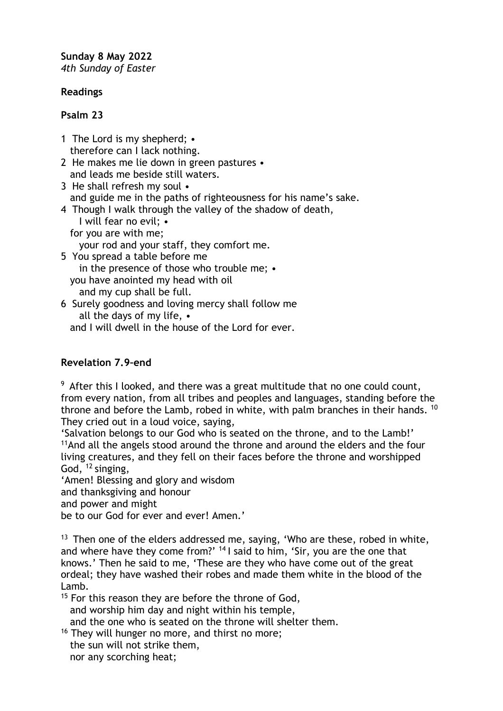**Sunday 8 May 2022** *4th Sunday of Easter*

## **Readings**

## **Psalm 23**

- 1 The Lord is my shepherd; therefore can I lack nothing.
- 2 He makes me lie down in green pastures and leads me beside still waters.
- 3 He shall refresh my soul and guide me in the paths of righteousness for his name's sake.
- 4 Though I walk through the valley of the shadow of death, I will fear no evil; •
	- for you are with me;
		- your rod and your staff, they comfort me.

5 You spread a table before me in the presence of those who trouble me; • you have anointed my head with oil and my cup shall be full.

6 Surely goodness and loving mercy shall follow me all the days of my life, • and I will dwell in the house of the Lord for ever.

# **Revelation 7.9–end**

 $9$  After this I looked, and there was a great multitude that no one could count, from every nation, from all tribes and peoples and languages, standing before the throne and before the Lamb, robed in white, with palm branches in their hands. <sup>10</sup> They cried out in a loud voice, saying,

'Salvation belongs to our God who is seated on the throne, and to the Lamb!' <sup>11</sup> And all the angels stood around the throne and around the elders and the four living creatures, and they fell on their faces before the throne and worshipped God, 12 singing,

'Amen! Blessing and glory and wisdom

and thanksgiving and honour

and power and might

be to our God for ever and ever! Amen.'

 $13$  Then one of the elders addressed me, saying, 'Who are these, robed in white, and where have they come from?' <sup>14</sup> I said to him, 'Sir, you are the one that knows.' Then he said to me, 'These are they who have come out of the great ordeal; they have washed their robes and made them white in the blood of the Lamb.

 $15$  For this reason they are before the throne of God, and worship him day and night within his temple, and the one who is seated on the throne will shelter them.

<sup>16</sup> They will hunger no more, and thirst no more; the sun will not strike them, nor any scorching heat;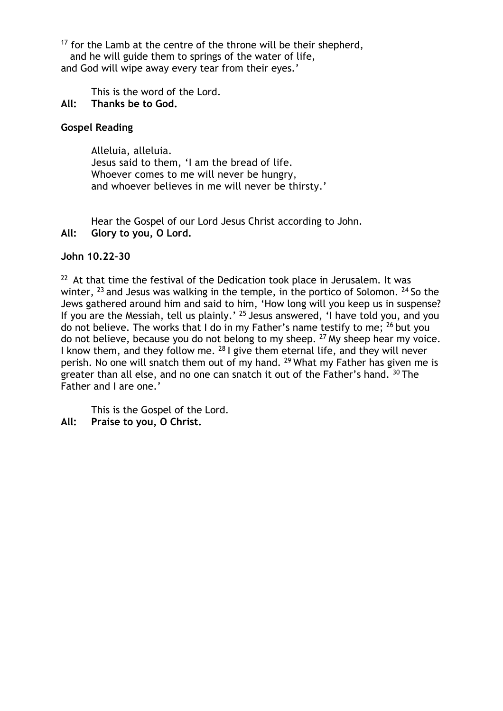$17$  for the Lamb at the centre of the throne will be their shepherd, and he will guide them to springs of the water of life, and God will wipe away every tear from their eyes.'

This is the word of the Lord.

## **All: Thanks be to God.**

## **Gospel Reading**

Alleluia, alleluia. Jesus said to them, 'I am the bread of life. Whoever comes to me will never be hungry, and whoever believes in me will never be thirsty.'

Hear the Gospel of our Lord Jesus Christ according to John. **All: Glory to you, O Lord.**

### **John 10.22–30**

 $22$  At that time the festival of the Dedication took place in Jerusalem. It was winter,  $^{23}$  and Jesus was walking in the temple, in the portico of Solomon.  $^{24}$  So the Jews gathered around him and said to him, 'How long will you keep us in suspense? If you are the Messiah, tell us plainly.' 25 Jesus answered, 'I have told you, and you do not believe. The works that I do in my Father's name testify to me; 26 but you do not believe, because you do not belong to my sheep.  $27$  My sheep hear my voice. I know them, and they follow me. <sup>28</sup> I give them eternal life, and they will never perish. No one will snatch them out of my hand. <sup>29</sup> What my Father has given me is greater than all else, and no one can snatch it out of the Father's hand.  $30$  The Father and I are one.'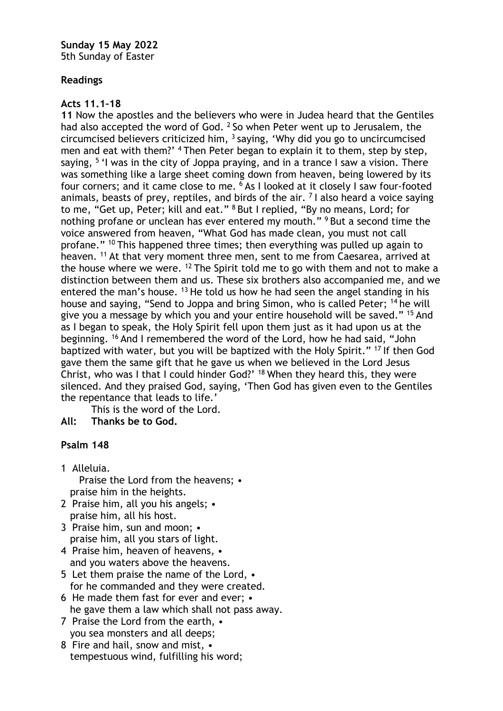**Sunday 15 May 2022** 5th Sunday of Easter

## **Readings**

## **Acts 11.1–18**

**11** Now the apostles and the believers who were in Judea heard that the Gentiles had also accepted the word of God.  $2$  So when Peter went up to Jerusalem, the circumcised believers criticized him,  $3$  saying, 'Why did you go to uncircumcised men and eat with them?' <sup>4</sup> Then Peter began to explain it to them, step by step, saying, <sup>5</sup> 'I was in the city of Joppa praying, and in a trance I saw a vision. There was something like a large sheet coming down from heaven, being lowered by its four corners; and it came close to me. 6 As I looked at it closely I saw four-footed animals, beasts of prey, reptiles, and birds of the air.  $<sup>7</sup>$  I also heard a voice saying</sup> to me, "Get up, Peter; kill and eat." 8 But I replied, "By no means, Lord; for nothing profane or unclean has ever entered my mouth." <sup>9</sup> But a second time the voice answered from heaven, "What God has made clean, you must not call profane." 10 This happened three times; then everything was pulled up again to heaven. <sup>11</sup> At that very moment three men, sent to me from Caesarea, arrived at the house where we were. <sup>12</sup> The Spirit told me to go with them and not to make a distinction between them and us. These six brothers also accompanied me, and we entered the man's house.  $13$  He told us how he had seen the angel standing in his house and saying, "Send to Joppa and bring Simon, who is called Peter; 14 he will give you a message by which you and your entire household will be saved." <sup>15</sup> And as I began to speak, the Holy Spirit fell upon them just as it had upon us at the beginning. 16 And I remembered the word of the Lord, how he had said, "John baptized with water, but you will be baptized with the Holy Spirit." 17 If then God gave them the same gift that he gave us when we believed in the Lord Jesus Christ, who was I that I could hinder God?' 18 When they heard this, they were silenced. And they praised God, saying, 'Then God has given even to the Gentiles the repentance that leads to life.'

This is the word of the Lord.

**All: Thanks be to God.**

### **Psalm 148**

- 1 Alleluia. Praise the Lord from the heavens; • praise him in the heights.
- 2 Praise him, all you his angels: praise him, all his host.
- 3 Praise him, sun and moon; praise him, all you stars of light.
- 4 Praise him, heaven of heavens, and you waters above the heavens.
- 5 Let them praise the name of the Lord, for he commanded and they were created.
- 6 He made them fast for ever and ever; he gave them a law which shall not pass away.
- 7 Praise the Lord from the earth, you sea monsters and all deeps;
- 8 Fire and hail, snow and mist, tempestuous wind, fulfilling his word;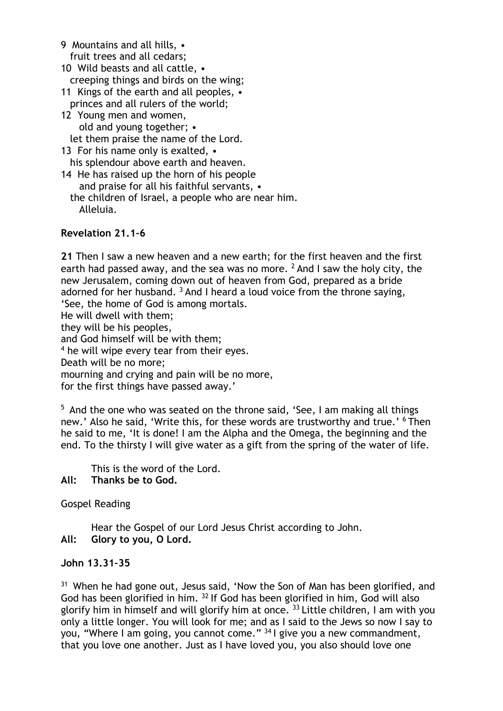9 Mountains and all hills, • fruit trees and all cedars; 10 Wild beasts and all cattle, • creeping things and birds on the wing; 11 Kings of the earth and all peoples, • princes and all rulers of the world; 12 Young men and women, old and young together; • let them praise the name of the Lord. 13 For his name only is exalted, • his splendour above earth and heaven.

14 He has raised up the horn of his people and praise for all his faithful servants, • the children of Israel, a people who are near him. Alleluia.

### **Revelation 21.1–6**

**21** Then I saw a new heaven and a new earth; for the first heaven and the first earth had passed away, and the sea was no more.  $2$  And I saw the holy city, the new Jerusalem, coming down out of heaven from God, prepared as a bride adorned for her husband.  $3$  And I heard a loud voice from the throne saying, 'See, the home of God is among mortals. He will dwell with them; they will be his peoples, and God himself will be with them; <sup>4</sup> he will wipe every tear from their eyes. Death will be no more; mourning and crying and pain will be no more, for the first things have passed away.'

<sup>5</sup> And the one who was seated on the throne said, 'See, I am making all things new.' Also he said, 'Write this, for these words are trustworthy and true.' <sup>6</sup> Then he said to me, 'It is done! I am the Alpha and the Omega, the beginning and the end. To the thirsty I will give water as a gift from the spring of the water of life.

This is the word of the Lord.

**All: Thanks be to God.**

Gospel Reading

Hear the Gospel of our Lord Jesus Christ according to John. **All: Glory to you, O Lord.**

#### **John 13.31–35**

<sup>31</sup> When he had gone out, Jesus said, 'Now the Son of Man has been glorified, and God has been glorified in him. <sup>32</sup> If God has been glorified in him, God will also glorify him in himself and will glorify him at once.  $33$  Little children, I am with you only a little longer. You will look for me; and as I said to the Jews so now I say to you, "Where I am going, you cannot come." 34 I give you a new commandment, that you love one another. Just as I have loved you, you also should love one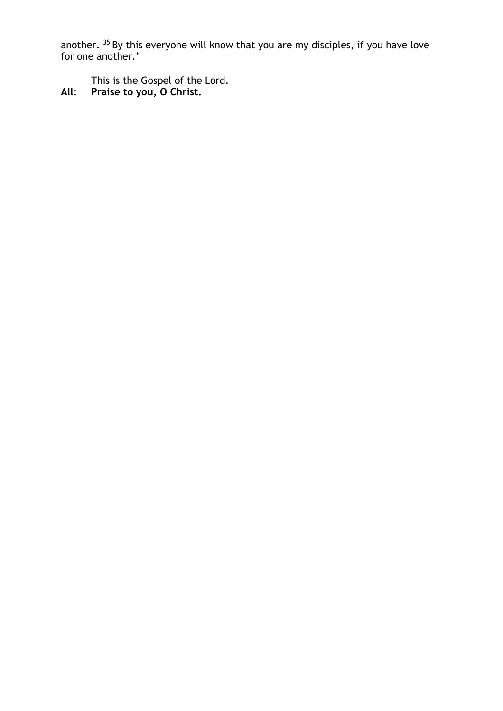another. <sup>35</sup> By this everyone will know that you are my disciples, if you have love for one another.'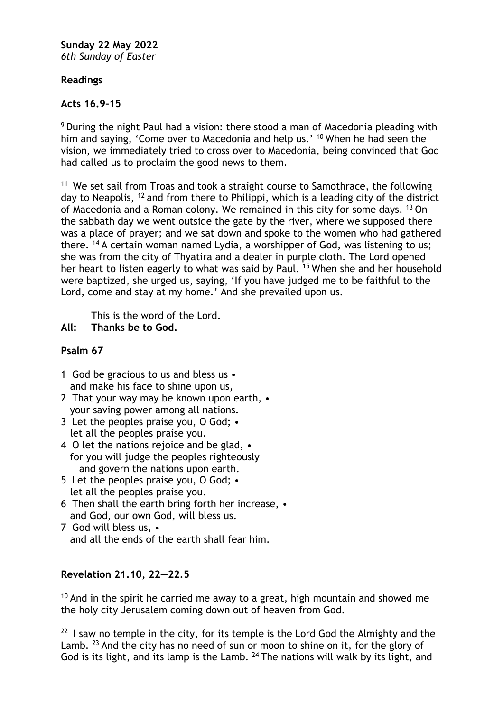**Sunday 22 May 2022** *6th Sunday of Easter*

## **Readings**

## **Acts 16.9–15**

<sup>9</sup> During the night Paul had a vision: there stood a man of Macedonia pleading with him and saying, 'Come over to Macedonia and help us.' <sup>10</sup> When he had seen the vision, we immediately tried to cross over to Macedonia, being convinced that God had called us to proclaim the good news to them.

<sup>11</sup> We set sail from Troas and took a straight course to Samothrace, the following day to Neapolis, 12 and from there to Philippi, which is a leading city of the district of Macedonia and a Roman colony. We remained in this city for some days. 13 On the sabbath day we went outside the gate by the river, where we supposed there was a place of prayer; and we sat down and spoke to the women who had gathered there. <sup>14</sup> A certain woman named Lydia, a worshipper of God, was listening to us; she was from the city of Thyatira and a dealer in purple cloth. The Lord opened her heart to listen eagerly to what was said by Paul. <sup>15</sup> When she and her household were baptized, she urged us, saying, 'If you have judged me to be faithful to the Lord, come and stay at my home.' And she prevailed upon us.

This is the word of the Lord.

**All: Thanks be to God.**

## **Psalm 67**

- 1 God be gracious to us and bless us and make his face to shine upon us,
- 2 That your way may be known upon earth, your saving power among all nations.
- 3 Let the peoples praise you, O God; let all the peoples praise you.
- 4 O let the nations rejoice and be glad, for you will judge the peoples righteously and govern the nations upon earth.
- 5 Let the peoples praise you, O God; let all the peoples praise you.
- 6 Then shall the earth bring forth her increase, and God, our own God, will bless us.
- 7 God will bless us, and all the ends of the earth shall fear him.

## **Revelation 21.10, 22—22.5**

 $10$  And in the spirit he carried me away to a great, high mountain and showed me the holy city Jerusalem coming down out of heaven from God.

 $22$  I saw no temple in the city, for its temple is the Lord God the Almighty and the Lamb.  $^{23}$  And the city has no need of sun or moon to shine on it, for the glory of God is its light, and its lamp is the Lamb. <sup>24</sup> The nations will walk by its light, and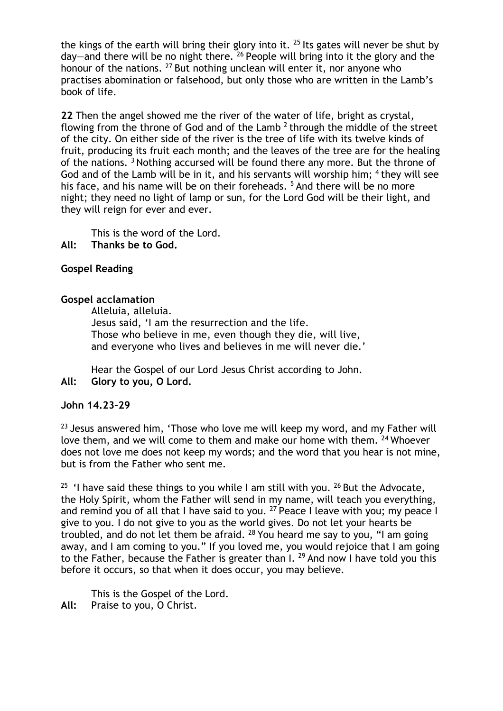the kings of the earth will bring their glory into it.  $25$  Its gates will never be shut by day—and there will be no night there. 26 People will bring into it the glory and the honour of the nations. <sup>27</sup> But nothing unclean will enter it, nor anyone who practises abomination or falsehood, but only those who are written in the Lamb's book of life.

**22** Then the angel showed me the river of the water of life, bright as crystal, flowing from the throne of God and of the Lamb  $2$  through the middle of the street of the city. On either side of the river is the tree of life with its twelve kinds of fruit, producing its fruit each month; and the leaves of the tree are for the healing of the nations. <sup>3</sup> Nothing accursed will be found there any more. But the throne of God and of the Lamb will be in it, and his servants will worship him; <sup>4</sup> they will see his face, and his name will be on their foreheads.<sup>5</sup> And there will be no more night; they need no light of lamp or sun, for the Lord God will be their light, and they will reign for ever and ever.

This is the word of the Lord.

**All: Thanks be to God.**

## **Gospel Reading**

### **Gospel acclamation**

Alleluia, alleluia. Jesus said, 'I am the resurrection and the life. Those who believe in me, even though they die, will live, and everyone who lives and believes in me will never die.'

Hear the Gospel of our Lord Jesus Christ according to John. **All: Glory to you, O Lord.**

### **John 14.23–29**

 $23$  Jesus answered him, 'Those who love me will keep my word, and my Father will love them, and we will come to them and make our home with them. <sup>24</sup> Whoever does not love me does not keep my words; and the word that you hear is not mine, but is from the Father who sent me.

<sup>25</sup> 'I have said these things to you while I am still with you. <sup>26</sup> But the Advocate, the Holy Spirit, whom the Father will send in my name, will teach you everything, and remind you of all that I have said to you.  $27$  Peace I leave with you; my peace I give to you. I do not give to you as the world gives. Do not let your hearts be troubled, and do not let them be afraid.  $28$  You heard me say to you, "I am going away, and I am coming to you." If you loved me, you would rejoice that I am going to the Father, because the Father is greater than I.  $^{29}$  And now I have told you this before it occurs, so that when it does occur, you may believe.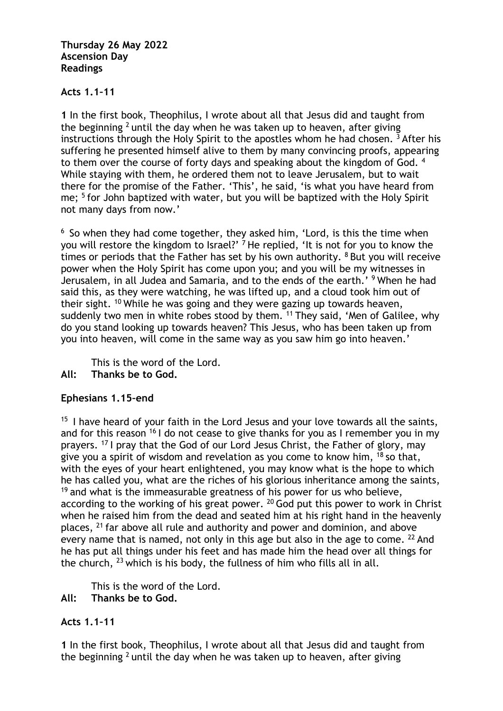#### **Thursday 26 May 2022 Ascension Day Readings**

## **Acts 1.1–11**

**1** In the first book, Theophilus, I wrote about all that Jesus did and taught from the beginning <sup>2</sup> until the day when he was taken up to heaven, after giving instructions through the Holy Spirit to the apostles whom he had chosen.  $3$  After his suffering he presented himself alive to them by many convincing proofs, appearing to them over the course of forty days and speaking about the kingdom of God. 4 While staying with them, he ordered them not to leave Jerusalem, but to wait there for the promise of the Father. 'This', he said, 'is what you have heard from me; 5 for John baptized with water, but you will be baptized with the Holy Spirit not many days from now.'

 $6$  So when they had come together, they asked him, 'Lord, is this the time when you will restore the kingdom to Israel?' <sup>7</sup> He replied, 'It is not for you to know the times or periods that the Father has set by his own authority.  $8$  But you will receive power when the Holy Spirit has come upon you; and you will be my witnesses in Jerusalem, in all Judea and Samaria, and to the ends of the earth.'<sup>9</sup> When he had said this, as they were watching, he was lifted up, and a cloud took him out of their sight. 10 While he was going and they were gazing up towards heaven, suddenly two men in white robes stood by them. <sup>11</sup> They said, 'Men of Galilee, why do you stand looking up towards heaven? This Jesus, who has been taken up from you into heaven, will come in the same way as you saw him go into heaven.'

This is the word of the Lord.

**All: Thanks be to God.**

## **Ephesians 1.15–end**

 $15$  I have heard of your faith in the Lord Jesus and your love towards all the saints, and for this reason  $16$  I do not cease to give thanks for you as I remember you in my prayers. 17 I pray that the God of our Lord Jesus Christ, the Father of glory, may give you a spirit of wisdom and revelation as you come to know him,  $18$  so that, with the eyes of your heart enlightened, you may know what is the hope to which he has called you, what are the riches of his glorious inheritance among the saints,  $19$  and what is the immeasurable greatness of his power for us who believe, according to the working of his great power.  $20$  God put this power to work in Christ when he raised him from the dead and seated him at his right hand in the heavenly places, 21 far above all rule and authority and power and dominion, and above every name that is named, not only in this age but also in the age to come.  $22$  And he has put all things under his feet and has made him the head over all things for the church, 23 which is his body, the fullness of him who fills all in all.

This is the word of the Lord.

**All: Thanks be to God.**

## **Acts 1.1–11**

**1** In the first book, Theophilus, I wrote about all that Jesus did and taught from the beginning  $2$  until the day when he was taken up to heaven, after giving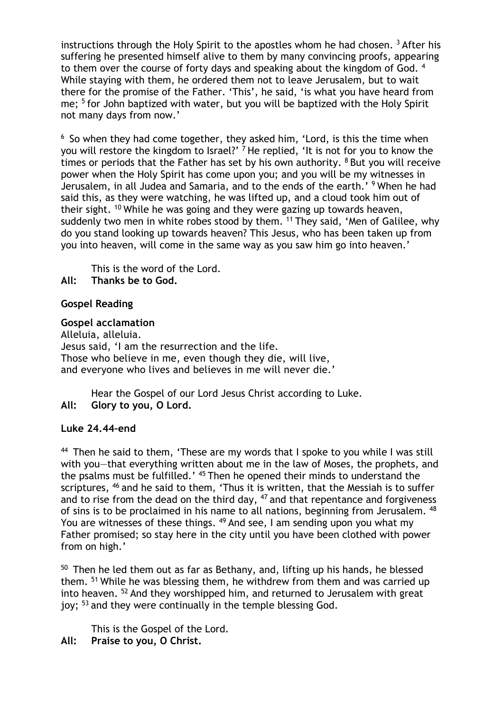instructions through the Holy Spirit to the apostles whom he had chosen.  $3$  After his suffering he presented himself alive to them by many convincing proofs, appearing to them over the course of forty days and speaking about the kingdom of God. 4 While staying with them, he ordered them not to leave Jerusalem, but to wait there for the promise of the Father. 'This', he said, 'is what you have heard from me; 5 for John baptized with water, but you will be baptized with the Holy Spirit not many days from now.'

 $6$  So when they had come together, they asked him, 'Lord, is this the time when you will restore the kingdom to Israel?'  $\frac{7}{1}$  He replied, 'It is not for you to know the times or periods that the Father has set by his own authority.  $8$  But you will receive power when the Holy Spirit has come upon you; and you will be my witnesses in Jerusalem, in all Judea and Samaria, and to the ends of the earth.' 9 When he had said this, as they were watching, he was lifted up, and a cloud took him out of their sight. 10 While he was going and they were gazing up towards heaven, suddenly two men in white robes stood by them. <sup>11</sup> They said, 'Men of Galilee, why do you stand looking up towards heaven? This Jesus, who has been taken up from you into heaven, will come in the same way as you saw him go into heaven.'

This is the word of the Lord. **All: Thanks be to God.**

## **Gospel Reading**

#### **Gospel acclamation**

Alleluia, alleluia. Jesus said, 'I am the resurrection and the life. Those who believe in me, even though they die, will live, and everyone who lives and believes in me will never die.'

Hear the Gospel of our Lord Jesus Christ according to Luke. **All: Glory to you, O Lord.**

### **Luke 24.44–end**

<sup>44</sup> Then he said to them, 'These are my words that I spoke to you while I was still with you—that everything written about me in the law of Moses, the prophets, and the psalms must be fulfilled.' 45 Then he opened their minds to understand the scriptures, <sup>46</sup> and he said to them, 'Thus it is written, that the Messiah is to suffer and to rise from the dead on the third day,  $47$  and that repentance and forgiveness of sins is to be proclaimed in his name to all nations, beginning from Jerusalem. 48 You are witnesses of these things. <sup>49</sup> And see, I am sending upon you what my Father promised; so stay here in the city until you have been clothed with power from on high.'

 $50$  Then he led them out as far as Bethany, and, lifting up his hands, he blessed them. <sup>51</sup> While he was blessing them, he withdrew from them and was carried up into heaven. 52 And they worshipped him, and returned to Jerusalem with great joy; 53 and they were continually in the temple blessing God.

This is the Gospel of the Lord.

**All: Praise to you, O Christ.**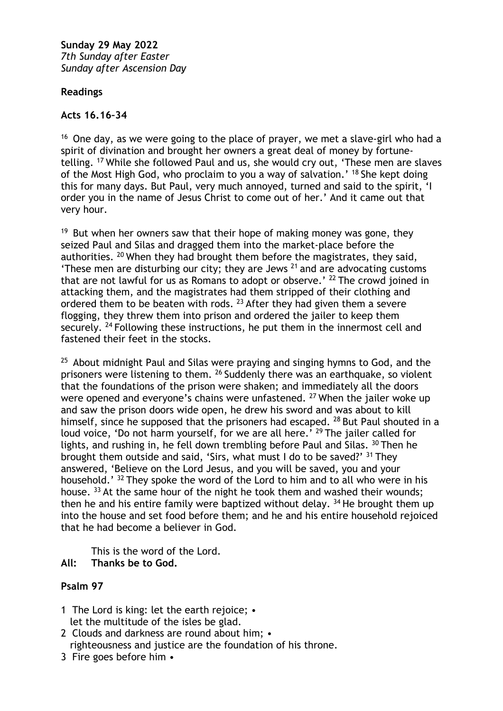**Sunday 29 May 2022** *7th Sunday after Easter Sunday after Ascension Day*

## **Readings**

## **Acts 16.16–34**

 $16$  One day, as we were going to the place of prayer, we met a slave-girl who had a spirit of divination and brought her owners a great deal of money by fortunetelling. 17 While she followed Paul and us, she would cry out, 'These men are slaves of the Most High God, who proclaim to you a way of salvation.' <sup>18</sup> She kept doing this for many days. But Paul, very much annoyed, turned and said to the spirit, 'I order you in the name of Jesus Christ to come out of her.' And it came out that very hour.

 $19$  But when her owners saw that their hope of making money was gone, they seized Paul and Silas and dragged them into the market-place before the authorities. 20 When they had brought them before the magistrates, they said, 'These men are disturbing our city; they are Jews  $21$  and are advocating customs that are not lawful for us as Romans to adopt or observe.' 22 The crowd joined in attacking them, and the magistrates had them stripped of their clothing and ordered them to be beaten with rods. <sup>23</sup> After they had given them a severe flogging, they threw them into prison and ordered the jailer to keep them securely. <sup>24</sup> Following these instructions, he put them in the innermost cell and fastened their feet in the stocks.

 $25$  About midnight Paul and Silas were praying and singing hymns to God, and the prisoners were listening to them. 26 Suddenly there was an earthquake, so violent that the foundations of the prison were shaken; and immediately all the doors were opened and everyone's chains were unfastened. <sup>27</sup> When the jailer woke up and saw the prison doors wide open, he drew his sword and was about to kill himself, since he supposed that the prisoners had escaped. <sup>28</sup> But Paul shouted in a loud voice, 'Do not harm yourself, for we are all here.' <sup>29</sup> The jailer called for lights, and rushing in, he fell down trembling before Paul and Silas. 30 Then he brought them outside and said, 'Sirs, what must I do to be saved?' 31 They answered, 'Believe on the Lord Jesus, and you will be saved, you and your household.' <sup>32</sup> They spoke the word of the Lord to him and to all who were in his house. <sup>33</sup> At the same hour of the night he took them and washed their wounds; then he and his entire family were baptized without delay.  $34$  He brought them up into the house and set food before them; and he and his entire household rejoiced that he had become a believer in God.

This is the word of the Lord.

**All: Thanks be to God.**

## **Psalm 97**

- 1 The Lord is king: let the earth rejoice; let the multitude of the isles be glad.
- 2 Clouds and darkness are round about him; righteousness and justice are the foundation of his throne.
- 3 Fire goes before him •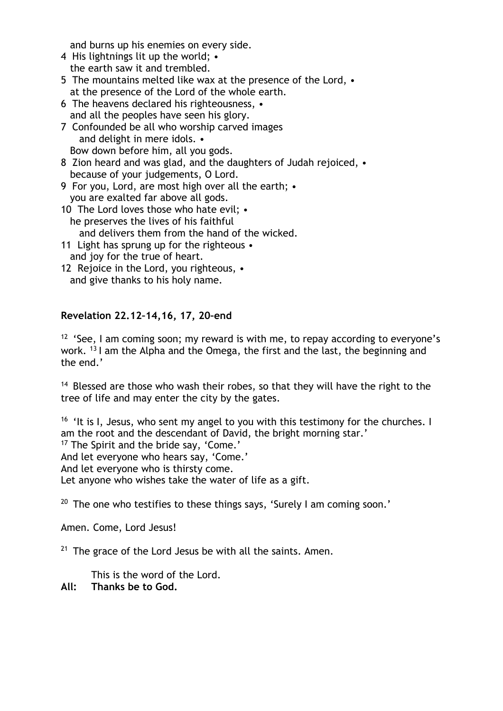and burns up his enemies on every side.

- 4 His lightnings lit up the world; the earth saw it and trembled.
- 5 The mountains melted like wax at the presence of the Lord, at the presence of the Lord of the whole earth.
- 6 The heavens declared his righteousness, and all the peoples have seen his glory.
- 7 Confounded be all who worship carved images and delight in mere idols. • Bow down before him, all you gods.
- 8 Zion heard and was glad, and the daughters of Judah rejoiced, because of your judgements, O Lord.
- 9 For you, Lord, are most high over all the earth; you are exalted far above all gods.
- 10 The Lord loves those who hate evil; he preserves the lives of his faithful and delivers them from the hand of the wicked.
- 11 Light has sprung up for the righteous and joy for the true of heart.
- 12 Rejoice in the Lord, you righteous, and give thanks to his holy name.

## **Revelation 22.12–14,16, 17, 20–end**

<sup>12</sup> 'See, I am coming soon; my reward is with me, to repay according to everyone's work. 13 I am the Alpha and the Omega, the first and the last, the beginning and the end.'

<sup>14</sup> Blessed are those who wash their robes, so that they will have the right to the tree of life and may enter the city by the gates.

<sup>16</sup> 'It is I, Jesus, who sent my angel to you with this testimony for the churches. I am the root and the descendant of David, the bright morning star.' <sup>17</sup> The Spirit and the bride say, 'Come.' And let everyone who hears say, 'Come.' And let everyone who is thirsty come. Let anyone who wishes take the water of life as a gift.

<sup>20</sup> The one who testifies to these things says, 'Surely I am coming soon.'

Amen. Come, Lord Jesus!

 $21$  The grace of the Lord Jesus be with all the saints. Amen.

This is the word of the Lord.

### **All: Thanks be to God.**